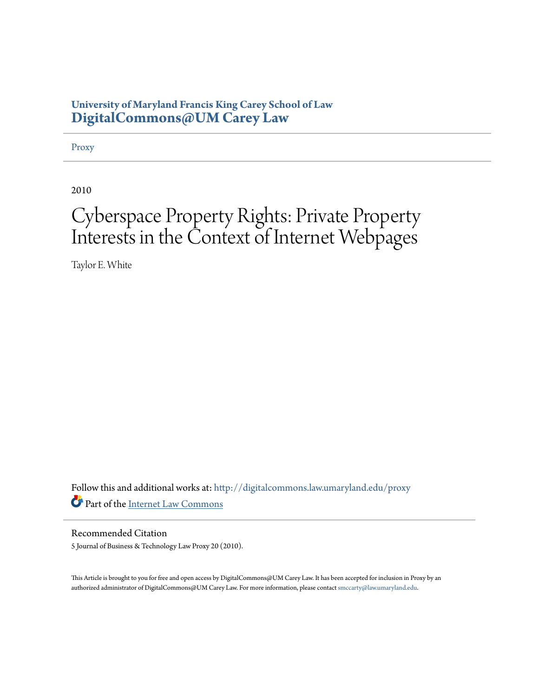# **University of Maryland Francis King Carey School of Law [DigitalCommons@UM Carey Law](http://digitalcommons.law.umaryland.edu?utm_source=digitalcommons.law.umaryland.edu%2Fproxy%2F2&utm_medium=PDF&utm_campaign=PDFCoverPages)**

[Proxy](http://digitalcommons.law.umaryland.edu/proxy?utm_source=digitalcommons.law.umaryland.edu%2Fproxy%2F2&utm_medium=PDF&utm_campaign=PDFCoverPages)

2010

# Cyberspace Property Rights: Private Property Interests in the Context of Internet Webpages

Taylor E. White

Follow this and additional works at: [http://digitalcommons.law.umaryland.edu/proxy](http://digitalcommons.law.umaryland.edu/proxy?utm_source=digitalcommons.law.umaryland.edu%2Fproxy%2F2&utm_medium=PDF&utm_campaign=PDFCoverPages) Part of the [Internet Law Commons](http://network.bepress.com/hgg/discipline/892?utm_source=digitalcommons.law.umaryland.edu%2Fproxy%2F2&utm_medium=PDF&utm_campaign=PDFCoverPages)

Recommended Citation 5 Journal of Business & Technology Law Proxy 20 (2010).

This Article is brought to you for free and open access by DigitalCommons@UM Carey Law. It has been accepted for inclusion in Proxy by an authorized administrator of DigitalCommons@UM Carey Law. For more information, please contact [smccarty@law.umaryland.edu.](mailto:smccarty@law.umaryland.edu)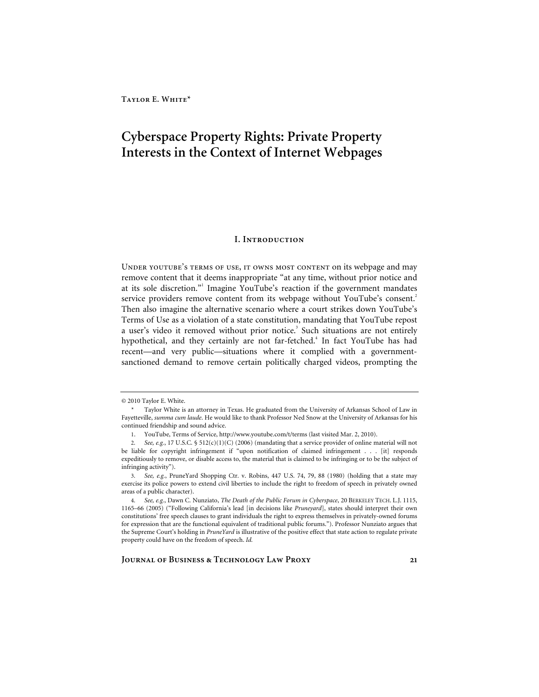# **Cyberspace Property Rights: Private Property Interests in the Context of Internet Webpages**

#### **I. Introduction**

Under youtube's terms of use, it owns most content on its webpage and may remove content that it deems inappropriate "at any time, without prior notice and at its sole discretion."<sup>1</sup> Imagine YouTube's reaction if the government mandates service providers remove content from its webpage without YouTube's consent.<sup>2</sup> Then also imagine the alternative scenario where a court strikes down YouTube's Terms of Use as a violation of a state constitution, mandating that YouTube repost a user's video it removed without prior notice.<sup>3</sup> Such situations are not entirely hypothetical, and they certainly are not far-fetched.<sup>4</sup> In fact YouTube has had recent—and very public—situations where it complied with a governmentsanctioned demand to remove certain politically charged videos, prompting the

<sup>© 2010</sup> Taylor E. White.

 <sup>\*</sup> Taylor White is an attorney in Texas. He graduated from the University of Arkansas School of Law in Fayetteville, *summa cum laude*. He would like to thank Professor Ned Snow at the University of Arkansas for his continued friendship and sound advice.

<sup>1.</sup> YouTube, Terms of Service, http://www.youtube.com/t/terms (last visited Mar. 2, 2010).

<sup>2</sup>*. See, e.g.*, 17 U.S.C. § 512(c)(1)(C) (2006) (mandating that a service provider of online material will not be liable for copyright infringement if "upon notification of claimed infringement . . . [it] responds expeditiously to remove, or disable access to, the material that is claimed to be infringing or to be the subject of infringing activity").

<sup>3</sup>*. See, e.g.*, PruneYard Shopping Ctr. v. Robins, 447 U.S. 74, 79, 88 (1980) (holding that a state may exercise its police powers to extend civil liberties to include the right to freedom of speech in privately owned areas of a public character).

<sup>4</sup>*. See, e.g.*, Dawn C. Nunziato, *The Death of the Public Forum in Cyberspace*, 20 BERKELEY TECH. L.J. 1115, 1165–66 (2005) ("Following California's lead [in decisions like *Pruneyard*], states should interpret their own constitutions' free speech clauses to grant individuals the right to express themselves in privately-owned forums for expression that are the functional equivalent of traditional public forums."). Professor Nunziato argues that the Supreme Court's holding in *PruneYard* is illustrative of the positive effect that state action to regulate private property could have on the freedom of speech. *Id.*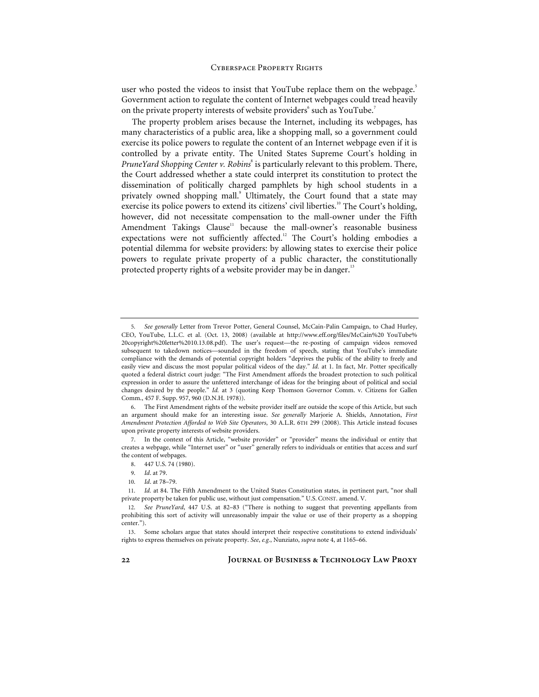user who posted the videos to insist that YouTube replace them on the webpage.<sup>5</sup> Government action to regulate the content of Internet webpages could tread heavily on the private property interests of website providers<sup>6</sup> such as YouTube.<sup>7</sup>

The property problem arises because the Internet, including its webpages, has many characteristics of a public area, like a shopping mall, so a government could exercise its police powers to regulate the content of an Internet webpage even if it is controlled by a private entity. The United States Supreme Court's holding in PruneYard Shopping Center v. Robins<sup>8</sup> is particularly relevant to this problem. There, the Court addressed whether a state could interpret its constitution to protect the dissemination of politically charged pamphlets by high school students in a privately owned shopping mall.<sup>9</sup> Ultimately, the Court found that a state may exercise its police powers to extend its citizens' civil liberties.<sup>10</sup> The Court's holding, however, did not necessitate compensation to the mall-owner under the Fifth Amendment Takings Clause<sup>11</sup> because the mall-owner's reasonable business expectations were not sufficiently affected.<sup>12</sup> The Court's holding embodies a potential dilemma for website providers: by allowing states to exercise their police powers to regulate private property of a public character, the constitutionally protected property rights of a website provider may be in danger.<sup>13</sup>

10*. Id*. at 78–79.

<sup>5</sup>*. See generally* Letter from Trevor Potter, General Counsel, McCain-Palin Campaign, to Chad Hurley, CEO, YouTube, L.L.C. et al. (Oct. 13, 2008) (available at http://www.eff.org/files/McCain%20 YouTube% 20copyright%20letter%2010.13.08.pdf). The user's request—the re-posting of campaign videos removed subsequent to takedown notices—sounded in the freedom of speech, stating that YouTube's immediate compliance with the demands of potential copyright holders "deprives the public of the ability to freely and easily view and discuss the most popular political videos of the day." *Id.* at 1. In fact, Mr. Potter specifically quoted a federal district court judge: "The First Amendment affords the broadest protection to such political expression in order to assure the unfettered interchange of ideas for the bringing about of political and social changes desired by the people." *Id.* at 3 (quoting Keep Thomson Governor Comm. v. Citizens for Gallen Comm., 457 F. Supp. 957, 960 (D.N.H. 1978)).

<sup>6.</sup> The First Amendment rights of the website provider itself are outside the scope of this Article, but such an argument should make for an interesting issue. *See generally* Marjorie A. Shields, Annotation, *First Amendment Protection Afforded to Web Site Operators*, 30 A.L.R. 6TH 299 (2008). This Article instead focuses upon private property interests of website providers.

<sup>7.</sup> In the context of this Article, "website provider" or "provider" means the individual or entity that creates a webpage, while "Internet user" or "user" generally refers to individuals or entities that access and surf the content of webpages.

<sup>8. 447</sup> U.S. 74 (1980).

<sup>9</sup>*. Id*. at 79.

<sup>11</sup>*. Id.* at 84. The Fifth Amendment to the United States Constitution states, in pertinent part, "nor shall private property be taken for public use, without just compensation." U.S. CONST. amend. V.

<sup>12</sup>*. See PruneYard*, 447 U.S. at 82–83 ("There is nothing to suggest that preventing appellants from prohibiting this sort of activity will unreasonably impair the value or use of their property as a shopping center.").

<sup>13.</sup> Some scholars argue that states should interpret their respective constitutions to extend individuals' rights to express themselves on private property. *See*, *e.g.*, Nunziato, *supra* note 4, at 1165–66.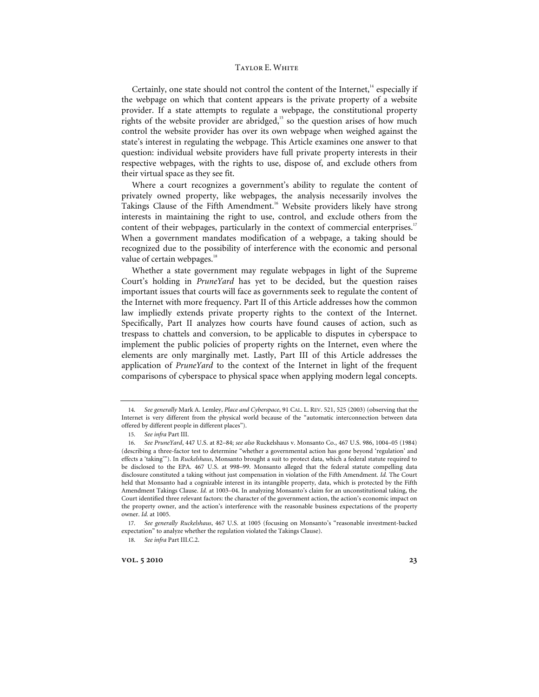Certainly, one state should not control the content of the Internet, $<sup>14</sup>$  especially if</sup> the webpage on which that content appears is the private property of a website provider. If a state attempts to regulate a webpage, the constitutional property rights of the website provider are abridged,<sup>15</sup> so the question arises of how much control the website provider has over its own webpage when weighed against the state's interest in regulating the webpage. This Article examines one answer to that question: individual website providers have full private property interests in their respective webpages, with the rights to use, dispose of, and exclude others from their virtual space as they see fit.

Where a court recognizes a government's ability to regulate the content of privately owned property, like webpages, the analysis necessarily involves the Takings Clause of the Fifth Amendment.<sup>16</sup> Website providers likely have strong interests in maintaining the right to use, control, and exclude others from the content of their webpages, particularly in the context of commercial enterprises.<sup>17</sup> When a government mandates modification of a webpage, a taking should be recognized due to the possibility of interference with the economic and personal value of certain webpages.<sup>18</sup>

Whether a state government may regulate webpages in light of the Supreme Court's holding in *PruneYard* has yet to be decided, but the question raises important issues that courts will face as governments seek to regulate the content of the Internet with more frequency. Part II of this Article addresses how the common law impliedly extends private property rights to the context of the Internet. Specifically, Part II analyzes how courts have found causes of action, such as trespass to chattels and conversion, to be applicable to disputes in cyberspace to implement the public policies of property rights on the Internet, even where the elements are only marginally met. Lastly, Part III of this Article addresses the application of *PruneYard* to the context of the Internet in light of the frequent comparisons of cyberspace to physical space when applying modern legal concepts.

<sup>14</sup>*. See generally* Mark A. Lemley, *Place and Cyberspace*, 91 CAL. L. REV. 521, 525 (2003) (observing that the Internet is very different from the physical world because of the "automatic interconnection between data offered by different people in different places").

<sup>15</sup>*. See infra* Part III.

<sup>16</sup>*. See PruneYard*, 447 U.S. at 82–84; *see also* Ruckelshaus v. Monsanto Co., 467 U.S. 986, 1004–05 (1984) (describing a three-factor test to determine "whether a governmental action has gone beyond 'regulation' and effects a 'taking'"). In *Ruckelshaus*, Monsanto brought a suit to protect data, which a federal statute required to be disclosed to the EPA. 467 U.S. at 998–99. Monsanto alleged that the federal statute compelling data disclosure constituted a taking without just compensation in violation of the Fifth Amendment. *Id.* The Court held that Monsanto had a cognizable interest in its intangible property, data, which is protected by the Fifth Amendment Takings Clause. *Id.* at 1003–04. In analyzing Monsanto's claim for an unconstitutional taking, the Court identified three relevant factors: the character of the government action, the action's economic impact on the property owner, and the action's interference with the reasonable business expectations of the property owner. *Id.* at 1005.

<sup>17</sup>*. See generally Ruckelshaus*, 467 U.S. at 1005 (focusing on Monsanto's "reasonable investment-backed expectation" to analyze whether the regulation violated the Takings Clause).

<sup>18.</sup> See infra Part III.C.2.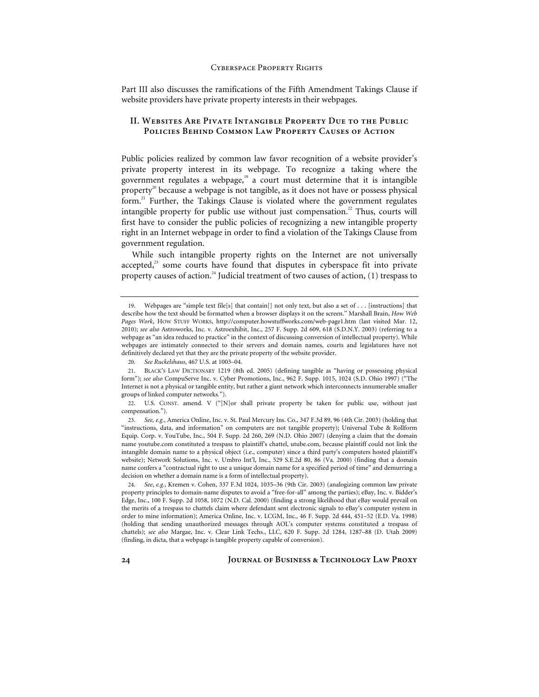Part III also discusses the ramifications of the Fifth Amendment Takings Clause if website providers have private property interests in their webpages.

# **II. Websites Are Pivate Intangible Property Due to the Public Policies Behind Common Law Property Causes of Action**

Public policies realized by common law favor recognition of a website provider's private property interest in its webpage. To recognize a taking where the government regulates a webpage, $19$  a court must determine that it is intangible property<sup>20</sup> because a webpage is not tangible, as it does not have or possess physical form. $^{21}$  Further, the Takings Clause is violated where the government regulates intangible property for public use without just compensation. $22$  Thus, courts will first have to consider the public policies of recognizing a new intangible property right in an Internet webpage in order to find a violation of the Takings Clause from government regulation.

While such intangible property rights on the Internet are not universally accepted, $^{23}$  some courts have found that disputes in cyberspace fit into private property causes of action.<sup>24</sup> Judicial treatment of two causes of action,  $(1)$  trespass to

<sup>19.</sup> Webpages are "simple text file[s] that contain[] not only text, but also a set of . . . [instructions] that describe how the text should be formatted when a browser displays it on the screen." Marshall Brain, *How Web Pages Work*, HOW STUFF WORKS, http://computer.howstuffworks.com/web-page1.htm (last visited Mar. 12, 2010); *see also* Astroworks, Inc. v. Astroexhibit, Inc., 257 F. Supp. 2d 609, 618 (S.D.N.Y. 2003) (referring to a webpage as "an idea reduced to practice" in the context of discussing conversion of intellectual property). While webpages are intimately connected to their servers and domain names, courts and legislatures have not definitively declared yet that they are the private property of the website provider.

<sup>20</sup>*. See Ruckelshaus*, 467 U.S. at 1003–04.

<sup>21.</sup> BLACK'S LAW DICTIONARY 1219 (8th ed. 2005) (defining tangible as "having or possessing physical form"); *see also* CompuServe Inc. v. Cyber Promotions, Inc., 962 F. Supp. 1015, 1024 (S.D. Ohio 1997) ("The Internet is not a physical or tangible entity, but rather a giant network which interconnects innumerable smaller groups of linked computer networks.").

<sup>22.</sup> U.S. CONST. amend. V ("[N]or shall private property be taken for public use, without just compensation.").

<sup>23</sup>*. See, e.g.*, America Online, Inc. v. St. Paul Mercury Ins. Co., 347 F.3d 89, 96 (4th Cir. 2003) (holding that "instructions, data, and information" on computers are not tangible property); Universal Tube & Rollform Equip. Corp. v. YouTube, Inc., 504 F. Supp. 2d 260, 269 (N.D. Ohio 2007) (denying a claim that the domain name youtube.com constituted a trespass to plaintiff's chattel, utube.com, because plaintiff could not link the intangible domain name to a physical object (i.e., computer) since a third party's computers hosted plaintiff's website); Network Solutions, Inc. v. Umbro Int'l, Inc., 529 S.E.2d 80, 86 (Va. 2000) (finding that a domain name confers a "contractual right to use a unique domain name for a specified period of time" and demurring a decision on whether a domain name is a form of intellectual property).

<sup>24</sup>*. See*, *e.g.*, Kremen v. Cohen, 337 F.3d 1024, 1035–36 (9th Cir. 2003) (analogizing common law private property principles to domain-name disputes to avoid a "free-for-all" among the parties); eBay, Inc. v. Bidder's Edge, Inc., 100 F. Supp. 2d 1058, 1072 (N.D. Cal. 2000) (finding a strong likelihood that eBay would prevail on the merits of a trespass to chattels claim where defendant sent electronic signals to eBay's computer system in order to mine information); America Online, Inc. v. LCGM, Inc., 46 F. Supp. 2d 444, 451–52 (E.D. Va. 1998) (holding that sending unauthorized messages through AOL's computer systems constituted a trespass of chattels); *see also* Margae, Inc. v. Clear Link Techs., LLC, 620 F. Supp. 2d 1284, 1287–88 (D. Utah 2009) (finding, in dicta, that a webpage is tangible property capable of conversion).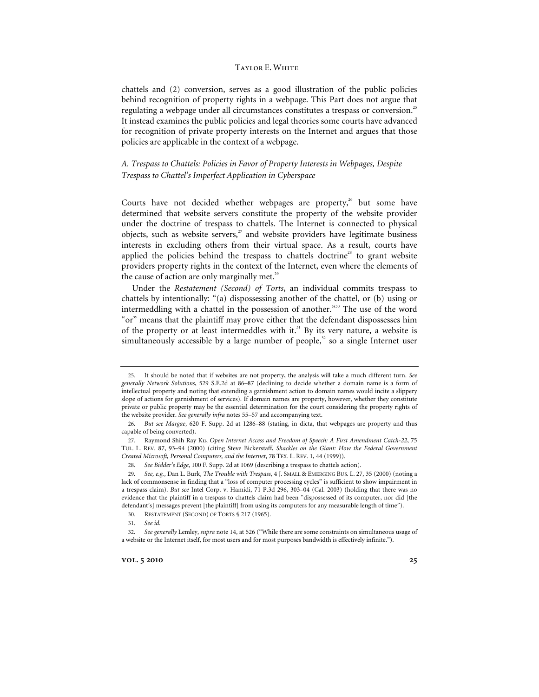chattels and (2) conversion, serves as a good illustration of the public policies behind recognition of property rights in a webpage. This Part does not argue that regulating a webpage under all circumstances constitutes a trespass or conversion.<sup>25</sup> It instead examines the public policies and legal theories some courts have advanced for recognition of private property interests on the Internet and argues that those policies are applicable in the context of a webpage.

# *A. Trespass to Chattels: Policies in Favor of Property Interests in Webpages, Despite Trespass to Chattel's Imperfect Application in Cyberspace*

Courts have not decided whether webpages are property,<sup>26</sup> but some have determined that website servers constitute the property of the website provider under the doctrine of trespass to chattels. The Internet is connected to physical objects, such as website servers, $27$  and website providers have legitimate business interests in excluding others from their virtual space. As a result, courts have applied the policies behind the trespass to chattels doctrine<sup>28</sup> to grant website providers property rights in the context of the Internet, even where the elements of the cause of action are only marginally met. $^{29}$ 

Under the *Restatement (Second) of Torts*, an individual commits trespass to chattels by intentionally: "(a) dispossessing another of the chattel, or (b) using or intermeddling with a chattel in the possession of another."<sup>30</sup> The use of the word "or" means that the plaintiff may prove either that the defendant dispossesses him of the property or at least intermeddles with it.<sup>31</sup> By its very nature, a website is simultaneously accessible by a large number of people, $32$  so a single Internet user

<sup>25.</sup> It should be noted that if websites are not property, the analysis will take a much different turn. *See generally Network Solutions*, 529 S.E.2d at 86–87 (declining to decide whether a domain name is a form of intellectual property and noting that extending a garnishment action to domain names would incite a slippery slope of actions for garnishment of services). If domain names are property, however, whether they constitute private or public property may be the essential determination for the court considering the property rights of the website provider. *See generally infra* notes 55–57 and accompanying text.

<sup>26</sup>*. But see Margae*, 620 F. Supp. 2d at 1286–88 (stating, in dicta, that webpages are property and thus capable of being converted).

<sup>27.</sup> Raymond Shih Ray Ku, *Open Internet Access and Freedom of Speech: A First Amendment Catch-22*, 75 TUL. L. REV. 87, 93–94 (2000) (citing Steve Bickerstaff, *Shackles on the Giant: How the Federal Government Created Microsoft, Personal Computers, and the Internet*, 78 TEX. L. REV. 1, 44 (1999)).

<sup>28</sup>*. See Bidder's Edge*, 100 F. Supp. 2d at 1069 (describing a trespass to chattels action).

<sup>29</sup>*. See, e.g.*, Dan L. Burk, *The Trouble with Trespass*, 4 J. SMALL & EMERGING BUS. L. 27, 35 (2000) (noting a lack of commonsense in finding that a "loss of computer processing cycles" is sufficient to show impairment in a trespass claim). *But see* Intel Corp. v. Hamidi, 71 P.3d 296, 303–04 (Cal. 2003) (holding that there was no evidence that the plaintiff in a trespass to chattels claim had been "dispossessed of its computer, nor did [the defendant's] messages prevent [the plaintiff] from using its computers for any measurable length of time").

<sup>30.</sup> RESTATEMENT (SECOND) OF TORTS § 217 (1965).

<sup>31</sup>*. See id.*

<sup>32</sup>*. See generally* Lemley, *supra* note 14, at 526 ("While there are some constraints on simultaneous usage of a website or the Internet itself, for most users and for most purposes bandwidth is effectively infinite.").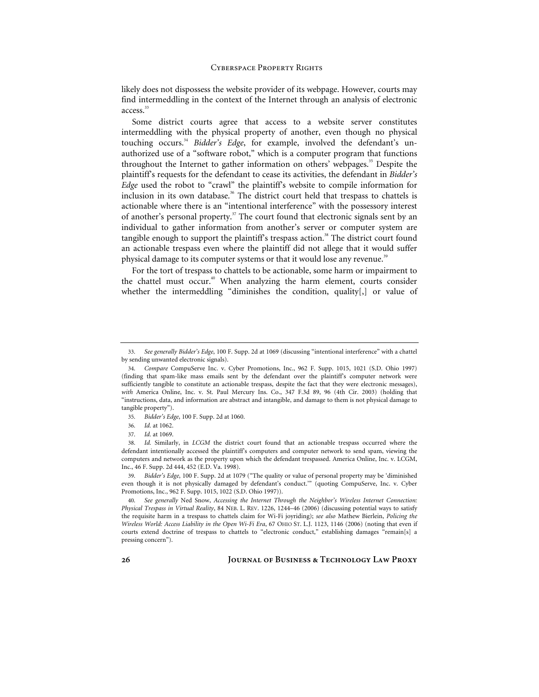likely does not dispossess the website provider of its webpage. However, courts may find intermeddling in the context of the Internet through an analysis of electronic  $\arccos$ <sup>33</sup>

Some district courts agree that access to a website server constitutes intermeddling with the physical property of another, even though no physical touching occurs.<sup>34</sup> *Bidder's Edge*, for example, involved the defendant's unauthorized use of a "software robot," which is a computer program that functions throughout the Internet to gather information on others' webpages.<sup>35</sup> Despite the plaintiff's requests for the defendant to cease its activities, the defendant in *Bidder's Edge* used the robot to "crawl" the plaintiff's website to compile information for inclusion in its own database.<sup>36</sup> The district court held that trespass to chattels is actionable where there is an "intentional interference" with the possessory interest of another's personal property.<sup>37</sup> The court found that electronic signals sent by an individual to gather information from another's server or computer system are tangible enough to support the plaintiff's trespass action.<sup>38</sup> The district court found an actionable trespass even where the plaintiff did not allege that it would suffer physical damage to its computer systems or that it would lose any revenue.<sup>39</sup>

For the tort of trespass to chattels to be actionable, some harm or impairment to the chattel must occur.<sup>40</sup> When analyzing the harm element, courts consider whether the intermeddling "diminishes the condition, quality[,] or value of

39*. Bidder's Edge*, 100 F. Supp. 2d at 1079 ("The quality or value of personal property may be 'diminished even though it is not physically damaged by defendant's conduct." (quoting CompuServe, Inc. v. Cyber Promotions, Inc., 962 F. Supp. 1015, 1022 (S.D. Ohio 1997)).

<sup>33</sup>*. See generally Bidder's Edge*, 100 F. Supp. 2d at 1069 (discussing "intentional interference" with a chattel by sending unwanted electronic signals).

<sup>34</sup>*. Compare* CompuServe Inc. v. Cyber Promotions, Inc., 962 F. Supp. 1015, 1021 (S.D. Ohio 1997) (finding that spam-like mass emails sent by the defendant over the plaintiff's computer network were sufficiently tangible to constitute an actionable trespass, despite the fact that they were electronic messages), *with* America Online, Inc. v. St. Paul Mercury Ins. Co., 347 F.3d 89, 96 (4th Cir. 2003) (holding that "instructions, data, and information are abstract and intangible, and damage to them is not physical damage to tangible property").

<sup>35</sup>*. Bidder's Edge*, 100 F. Supp. 2d at 1060.

<sup>36</sup>*. Id.* at 1062.

<sup>37</sup>*. Id.* at 1069.

<sup>38</sup>*. Id.* Similarly, in *LCGM* the district court found that an actionable trespass occurred where the defendant intentionally accessed the plaintiff's computers and computer network to send spam, viewing the computers and network as the property upon which the defendant trespassed. America Online, Inc. v. LCGM, Inc., 46 F. Supp. 2d 444, 452 (E.D. Va. 1998).

<sup>40</sup>*. See generally* Ned Snow, *Accessing the Internet Through the Neighbor's Wireless Internet Connection: Physical Trespass in Virtual Reality*, 84 NEB. L. REV. 1226, 1244–46 (2006) (discussing potential ways to satisfy the requisite harm in a trespass to chattels claim for Wi-Fi joyriding); *see also* Mathew Bierlein, *Policing the Wireless World: Access Liability in the Open Wi-Fi Era*, 67 OHIO ST. L.J. 1123, 1146 (2006) (noting that even if courts extend doctrine of trespass to chattels to "electronic conduct," establishing damages "remain[s] a pressing concern").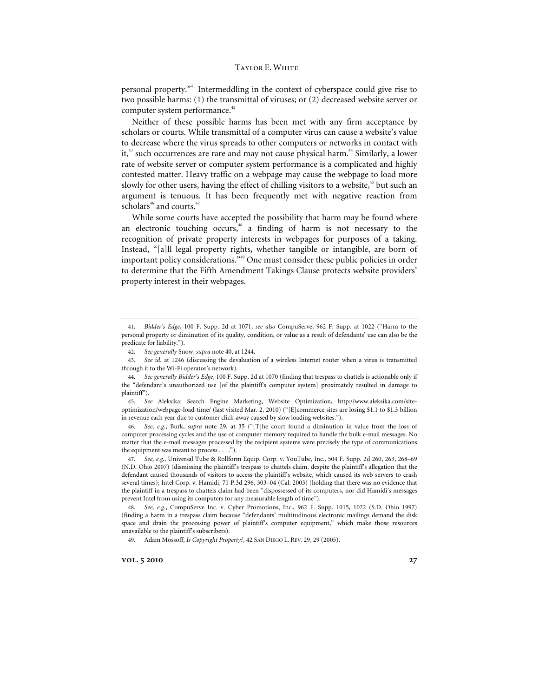personal property."41 Intermeddling in the context of cyberspace could give rise to two possible harms: (1) the transmittal of viruses; or (2) decreased website server or computer system performance.<sup>42</sup>

Neither of these possible harms has been met with any firm acceptance by scholars or courts. While transmittal of a computer virus can cause a website's value to decrease where the virus spreads to other computers or networks in contact with it,<sup>43</sup> such occurrences are rare and may not cause physical harm.<sup>44</sup> Similarly, a lower rate of website server or computer system performance is a complicated and highly contested matter. Heavy traffic on a webpage may cause the webpage to load more slowly for other users, having the effect of chilling visitors to a website, $45$  but such an argument is tenuous. It has been frequently met with negative reaction from scholars<sup>46</sup> and courts. $47$ 

While some courts have accepted the possibility that harm may be found where an electronic touching occurs,<sup>48</sup> a finding of harm is not necessary to the recognition of private property interests in webpages for purposes of a taking. Instead, "[a]ll legal property rights, whether tangible or intangible, are born of important policy considerations."49 One must consider these public policies in order to determine that the Fifth Amendment Takings Clause protects website providers' property interest in their webpages.

45*. See* Aleksika: Search Engine Marketing, Website Optimization, http://www.aleksika.com/siteoptimization/webpage-load-time/ (last visited Mar. 2, 2010) ("[E]commerce sites are losing \$1.1 to \$1.3 billion in revenue each year due to customer click-away caused by slow loading websites.").

46*. See, e.g.*, Burk, *supra* note 29, at 35 ("[T]he court found a diminution in value from the loss of computer processing cycles and the use of computer memory required to handle the bulk e-mail messages. No matter that the e-mail messages processed by the recipient systems were precisely the type of communications the equipment was meant to process . . . .").

47*. See, e.g.*, Universal Tube & Rollform Equip. Corp. v. YouTube, Inc., 504 F. Supp. 2d 260, 263, 268–69 (N.D. Ohio 2007) (dismissing the plaintiff's trespass to chattels claim, despite the plaintiff's allegation that the defendant caused thousands of visitors to access the plaintiff's website, which caused its web servers to crash several times); Intel Corp. v. Hamidi, 71 P.3d 296, 303–04 (Cal. 2003) (holding that there was no evidence that the plaintiff in a trespass to chattels claim had been "dispossessed of its computers, nor did Hamidi's messages prevent Intel from using its computers for any measurable length of time").

48*. See, e.g.*, CompuServe Inc. v. Cyber Promotions, Inc., 962 F. Supp. 1015, 1022 (S.D. Ohio 1997) (finding a harm in a trespass claim because "defendants' multitudinous electronic mailings demand the disk space and drain the processing power of plaintiff's computer equipment," which make those resources unavailable to the plaintiff's subscribers).

49. Adam Mossoff, *Is Copyright Property?*, 42 SAN DIEGO L. REV. 29, 29 (2005).

**vol.** 5 2010 27

<sup>41</sup>*. Bidder's Edge*, 100 F. Supp. 2d at 1071; *see also* CompuServe, 962 F. Supp. at 1022 ("Harm to the personal property or diminution of its quality, condition, or value as a result of defendants' use can also be the predicate for liability.").

<sup>42</sup>*. See generally* Snow, *supra* note 40, at 1244.

<sup>43</sup>*. See id.* at 1246 (discussing the devaluation of a wireless Internet router when a virus is transmitted through it to the Wi-Fi operator's network)*.* 

<sup>44</sup>*. See generally Bidder's Edge*, 100 F. Supp. 2d at 1070 (finding that trespass to chattels is actionable only if the "defendant's unauthorized use [of the plaintiff's computer system] proximately resulted in damage to plaintiff").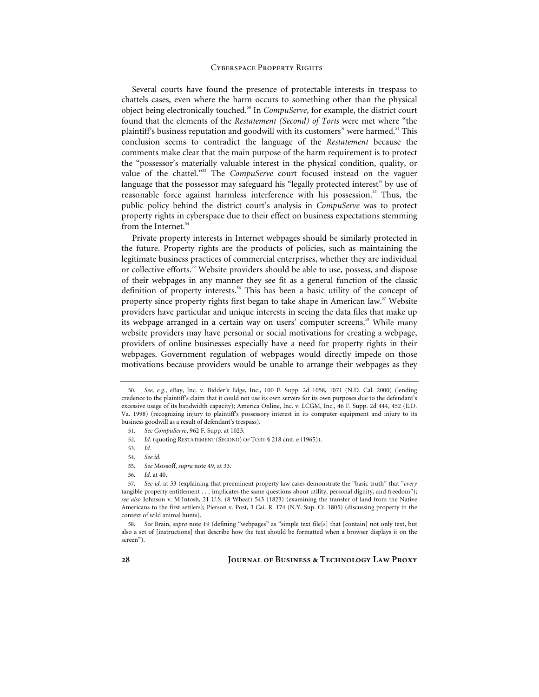Several courts have found the presence of protectable interests in trespass to chattels cases, even where the harm occurs to something other than the physical object being electronically touched.<sup>50</sup> In *CompuServe*, for example, the district court found that the elements of the *Restatement (Second) of Torts* were met where "the plaintiff's business reputation and goodwill with its customers" were harmed.<sup>51</sup> This conclusion seems to contradict the language of the *Restatement* because the comments make clear that the main purpose of the harm requirement is to protect the "possessor's materially valuable interest in the physical condition, quality, or value of the chattel."52 The *CompuServe* court focused instead on the vaguer language that the possessor may safeguard his "legally protected interest" by use of reasonable force against harmless interference with his possession.<sup>53</sup> Thus, the public policy behind the district court's analysis in *CompuServe* was to protect property rights in cyberspace due to their effect on business expectations stemming from the Internet.<sup>54</sup>

Private property interests in Internet webpages should be similarly protected in the future. Property rights are the products of policies, such as maintaining the legitimate business practices of commercial enterprises, whether they are individual or collective efforts.<sup>55</sup> Website providers should be able to use, possess, and dispose of their webpages in any manner they see fit as a general function of the classic definition of property interests.<sup>56</sup> This has been a basic utility of the concept of property since property rights first began to take shape in American law.<sup>57</sup> Website providers have particular and unique interests in seeing the data files that make up its webpage arranged in a certain way on users' computer screens.<sup>58</sup> While many website providers may have personal or social motivations for creating a webpage, providers of online businesses especially have a need for property rights in their webpages. Government regulation of webpages would directly impede on those motivations because providers would be unable to arrange their webpages as they

<sup>50</sup>*. See, e.g.*, eBay, Inc. v. Bidder's Edge, Inc., 100 F. Supp. 2d 1058, 1071 (N.D. Cal. 2000) (lending credence to the plaintiff's claim that it could not use its own servers for its own purposes due to the defendant's excessive usage of its bandwidth capacity); America Online, Inc. v. LCGM, Inc., 46 F. Supp. 2d 444, 452 (E.D. Va. 1998) (recognizing injury to plaintiff's possessory interest in its computer equipment and injury to its business goodwill as a result of defendant's trespass).

<sup>51</sup>*. See CompuServe*, 962 F. Supp. at 1023.

<sup>52</sup>*. Id.* (quoting RESTATEMENT (SECOND) OF TORT § 218 cmt. e (1965)).

<sup>53</sup>*. Id.*

<sup>54</sup>*. See id.*

<sup>55</sup>*. See* Mossoff, *supra* note 49, at 33.

<sup>56</sup>*. Id.* at 40.

<sup>57</sup>*. See id.* at 33 (explaining that preeminent property law cases demonstrate the "basic truth" that "*every* tangible property entitlement . . . implicates the same questions about utility, personal dignity, and freedom"); *see also* Johnson v. M'Intosh, 21 U.S. (8 Wheat) 543 (1823) (examining the transfer of land from the Native Americans to the first settlers); Pierson v. Post, 3 Cai. R. 174 (N.Y. Sup. Ct. 1805) (discussing property in the context of wild animal hunts).

<sup>58</sup>*. See* Brain, *supra* note 19 (defining "webpages" as "simple text file[s] that [contain] not only text, but also a set of [instructions] that describe how the text should be formatted when a browser displays it on the screen").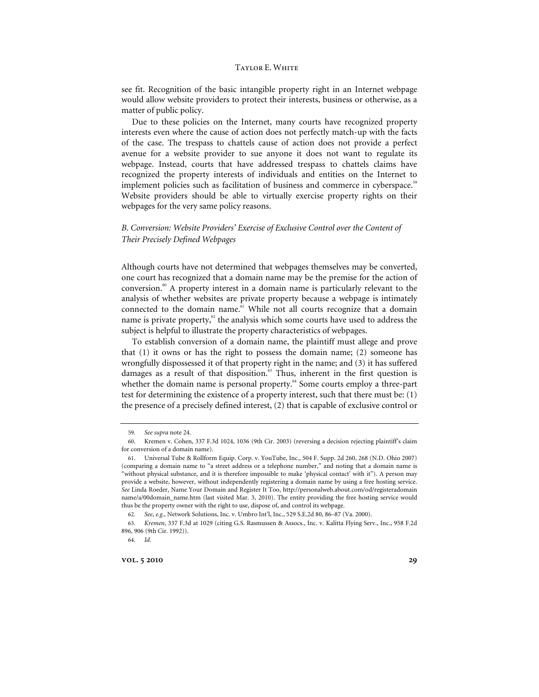see fit. Recognition of the basic intangible property right in an Internet webpage would allow website providers to protect their interests, business or otherwise, as a matter of public policy.

Due to these policies on the Internet, many courts have recognized property interests even where the cause of action does not perfectly match-up with the facts of the case. The trespass to chattels cause of action does not provide a perfect avenue for a website provider to sue anyone it does not want to regulate its webpage. Instead, courts that have addressed trespass to chattels claims have recognized the property interests of individuals and entities on the Internet to implement policies such as facilitation of business and commerce in cyberspace.<sup>59</sup> Website providers should be able to virtually exercise property rights on their webpages for the very same policy reasons.

# *B. Conversion: Website Providers' Exercise of Exclusive Control over the Content of Their Precisely Defined Webpages*

Although courts have not determined that webpages themselves may be converted, one court has recognized that a domain name may be the premise for the action of conversion.60 A property interest in a domain name is particularly relevant to the analysis of whether websites are private property because a webpage is intimately connected to the domain name.<sup>61</sup> While not all courts recognize that a domain name is private property,<sup>62</sup> the analysis which some courts have used to address the subject is helpful to illustrate the property characteristics of webpages.

To establish conversion of a domain name, the plaintiff must allege and prove that (1) it owns or has the right to possess the domain name; (2) someone has wrongfully dispossessed it of that property right in the name; and (3) it has suffered damages as a result of that disposition.<sup>63</sup> Thus, inherent in the first question is whether the domain name is personal property.<sup>64</sup> Some courts employ a three-part test for determining the existence of a property interest, such that there must be: (1) the presence of a precisely defined interest, (2) that is capable of exclusive control or

62*. See*, *e.g.*, Network Solutions, Inc. v. Umbro Int'l, Inc., 529 S.E.2d 80, 86–87 (Va. 2000).

**vol.** 5 2010 29

<sup>59</sup>*. See supra* note 24.

<sup>60.</sup> Kremen v. Cohen, 337 F.3d 1024, 1036 (9th Cir. 2003) (reversing a decision rejecting plaintiff's claim for conversion of a domain name).

<sup>61.</sup> Universal Tube & Rollform Equip. Corp. v. YouTube, Inc., 504 F. Supp. 2d 260, 268 (N.D. Ohio 2007) (comparing a domain name to "a street address or a telephone number," and noting that a domain name is "without physical substance, and it is therefore impossible to make 'physical contact' with it"). A person may provide a website, however, without independently registering a domain name by using a free hosting service. *See* Linda Roeder, Name Your Domain and Register It Too, http://personalweb.about.com/od/registeradomain name/a/00domain\_name.htm (last visited Mar. 3, 2010). The entity providing the free hosting service would thus be the property owner with the right to use, dispose of, and control its webpage.

<sup>63</sup>*. Kremen*, 337 F.3d at 1029 (citing G.S. Rasmussen & Assocs., Inc. v. Kalitta Flying Serv., Inc., 958 F.2d 896, 906 (9th Cir. 1992)).

<sup>64</sup>*. Id.*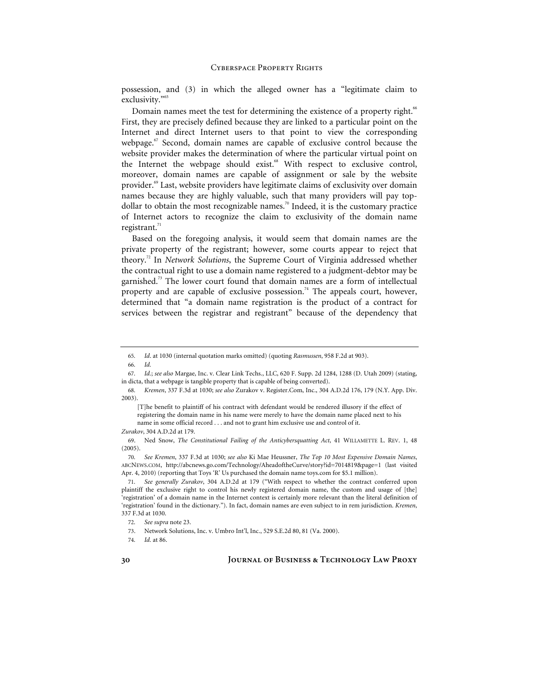possession, and (3) in which the alleged owner has a "legitimate claim to exclusivity."<sup>65</sup>

Domain names meet the test for determining the existence of a property right.<sup>66</sup> First, they are precisely defined because they are linked to a particular point on the Internet and direct Internet users to that point to view the corresponding webpage.<sup>67</sup> Second, domain names are capable of exclusive control because the website provider makes the determination of where the particular virtual point on the Internet the webpage should exist.<sup>68</sup> With respect to exclusive control, moreover, domain names are capable of assignment or sale by the website provider.69 Last, website providers have legitimate claims of exclusivity over domain names because they are highly valuable, such that many providers will pay topdollar to obtain the most recognizable names.<sup>70</sup> Indeed, it is the customary practice of Internet actors to recognize the claim to exclusivity of the domain name registrant. $71$ 

Based on the foregoing analysis, it would seem that domain names are the private property of the registrant; however, some courts appear to reject that theory.72 In *Network Solutions*, the Supreme Court of Virginia addressed whether the contractual right to use a domain name registered to a judgment-debtor may be garnished.<sup>73</sup> The lower court found that domain names are a form of intellectual property and are capable of exclusive possession.<sup>74</sup> The appeals court, however, determined that "a domain name registration is the product of a contract for services between the registrar and registrant" because of the dependency that

<sup>65</sup>*. Id*. at 1030 (internal quotation marks omitted) (quoting *Rasmussen*, 958 F.2d at 903).

<sup>66</sup>*. Id.*

<sup>67</sup>*. Id.*; *see also* Margae, Inc. v. Clear Link Techs., LLC, 620 F. Supp. 2d 1284, 1288 (D. Utah 2009) (stating, in dicta, that a webpage is tangible property that is capable of being converted).

<sup>68</sup>*. Kremen*, 337 F.3d at 1030; *see also* Zurakov v. Register.Com, Inc., 304 A.D.2d 176, 179 (N.Y. App. Div. 2003).

<sup>[</sup>T]he benefit to plaintiff of his contract with defendant would be rendered illusory if the effect of registering the domain name in his name were merely to have the domain name placed next to his name in some official record . . . and not to grant him exclusive use and control of it.

*Zurakov*, 304 A.D.2d at 179.

<sup>69.</sup> Ned Snow, *The Constitutional Failing of the Anticybersquatting Act*, 41 WILLAMETTE L. REV. 1, 48 (2005).

<sup>70</sup>*. See Kremen*, 337 F.3d at 1030; *see also* Ki Mae Heussner, *The Top 10 Most Expensive Domain Names*, ABCNEWS.COM, http://abcnews.go.com/Technology/AheadoftheCurve/story?id=7014819&page=1 (last visited Apr. 4, 2010) (reporting that Toys 'R' Us purchased the domain name toys.com for \$5.1 million).

<sup>71</sup>*. See generally Zurakov*, 304 A.D.2d at 179 ("With respect to whether the contract conferred upon plaintiff the exclusive right to control his newly registered domain name, the custom and usage of [the] 'registration' of a domain name in the Internet context is certainly more relevant than the literal definition of 'registration' found in the dictionary."). In fact, domain names are even subject to in rem jurisdiction. *Kremen*, 337 F.3d at 1030.

<sup>72</sup>*. See supra* note 23.

<sup>73.</sup> Network Solutions, Inc. v. Umbro Int'l, Inc., 529 S.E.2d 80, 81 (Va. 2000).

<sup>74</sup>*. Id.* at 86.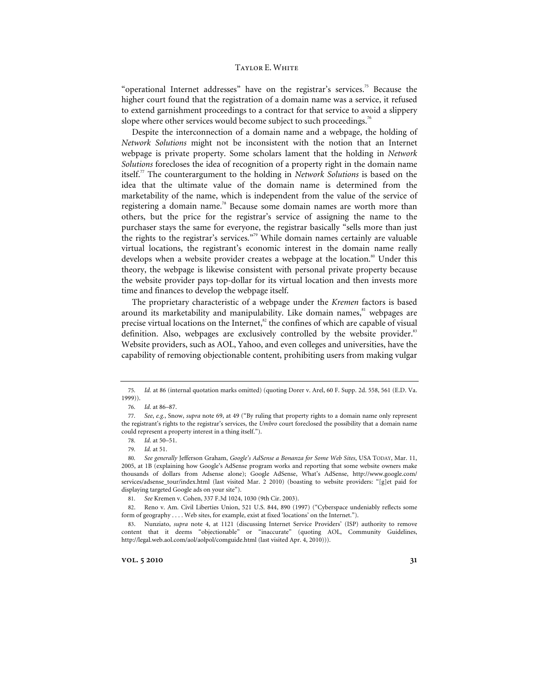"operational Internet addresses" have on the registrar's services.<sup>75</sup> Because the higher court found that the registration of a domain name was a service, it refused to extend garnishment proceedings to a contract for that service to avoid a slippery slope where other services would become subject to such proceedings.<sup>76</sup>

Despite the interconnection of a domain name and a webpage, the holding of *Network Solutions* might not be inconsistent with the notion that an Internet webpage is private property. Some scholars lament that the holding in *Network Solutions* forecloses the idea of recognition of a property right in the domain name itself.77 The counterargument to the holding in *Network Solutions* is based on the idea that the ultimate value of the domain name is determined from the marketability of the name, which is independent from the value of the service of registering a domain name.<sup>78</sup> Because some domain names are worth more than others, but the price for the registrar's service of assigning the name to the purchaser stays the same for everyone, the registrar basically "sells more than just the rights to the registrar's services."79 While domain names certainly are valuable virtual locations, the registrant's economic interest in the domain name really develops when a website provider creates a webpage at the location.<sup>80</sup> Under this theory, the webpage is likewise consistent with personal private property because the website provider pays top-dollar for its virtual location and then invests more time and finances to develop the webpage itself.

The proprietary characteristic of a webpage under the *Kremen* factors is based around its marketability and manipulability. Like domain names,<sup>81</sup> webpages are precise virtual locations on the Internet, $s<sup>2</sup>$  the confines of which are capable of visual definition. Also, webpages are exclusively controlled by the website provider.<sup>83</sup> Website providers, such as AOL, Yahoo, and even colleges and universities, have the capability of removing objectionable content, prohibiting users from making vulgar

<sup>75</sup>*. Id.* at 86 (internal quotation marks omitted) (quoting Dorer v. Arel, 60 F. Supp. 2d. 558, 561 (E.D. Va. 1999)).

<sup>76</sup>*. Id.* at 86–87.

<sup>77</sup>*. See*, *e.g.*, Snow, *supra* note 69, at 49 ("By ruling that property rights to a domain name only represent the registrant's rights to the registrar's services, the *Umbro* court foreclosed the possibility that a domain name could represent a property interest in a thing itself.").

<sup>78</sup>*. Id.* at 50–51.

<sup>79</sup>*. Id.* at 51.

<sup>80</sup>*. See generally* Jefferson Graham, *Google's AdSense a Bonanza for Some Web Sites*, USA TODAY, Mar. 11, 2005, at 1B (explaining how Google's AdSense program works and reporting that some website owners make thousands of dollars from Adsense alone); Google AdSense, What's AdSense, http://www.google.com/ services/adsense\_tour/index.html (last visited Mar. 2 2010) (boasting to website providers: "[g]et paid for displaying targeted Google ads on your site").

<sup>81</sup>*. See* Kremen v. Cohen, 337 F.3d 1024, 1030 (9th Cir. 2003).

<sup>82.</sup> Reno v. Am. Civil Liberties Union, 521 U.S. 844, 890 (1997) ("Cyberspace undeniably reflects some form of geography . . . . Web sites, for example, exist at fixed 'locations' on the Internet.").

<sup>83.</sup> Nunziato, *supra* note 4, at 1121 (discussing Internet Service Providers' (ISP) authority to remove content that it deems "objectionable" or "inaccurate" (quoting AOL, Community Guidelines, http://legal.web.aol.com/aol/aolpol/comguide.html (last visited Apr. 4, 2010))).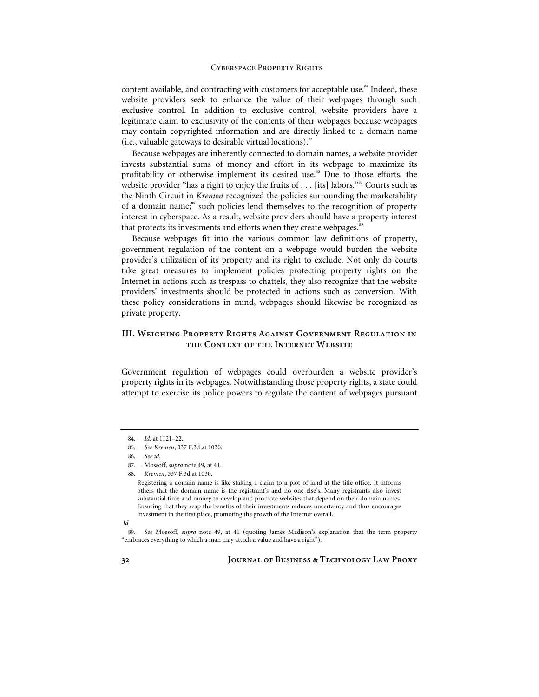content available, and contracting with customers for acceptable use. $84$  Indeed, these website providers seek to enhance the value of their webpages through such exclusive control. In addition to exclusive control, website providers have a legitimate claim to exclusivity of the contents of their webpages because webpages may contain copyrighted information and are directly linked to a domain name (i.e., valuable gateways to desirable virtual locations). $85$ 

Because webpages are inherently connected to domain names, a website provider invests substantial sums of money and effort in its webpage to maximize its profitability or otherwise implement its desired use.<sup>86</sup> Due to those efforts, the website provider "has a right to enjoy the fruits of  $\dots$  [its] labors." Courts such as the Ninth Circuit in *Kremen* recognized the policies surrounding the marketability of a domain name;<sup>88</sup> such policies lend themselves to the recognition of property interest in cyberspace. As a result, website providers should have a property interest that protects its investments and efforts when they create webpages.<sup>89</sup>

Because webpages fit into the various common law definitions of property, government regulation of the content on a webpage would burden the website provider's utilization of its property and its right to exclude. Not only do courts take great measures to implement policies protecting property rights on the Internet in actions such as trespass to chattels, they also recognize that the website providers' investments should be protected in actions such as conversion. With these policy considerations in mind, webpages should likewise be recognized as private property.

# **III. Weighing Property Rights Against Government Regulation in the Context of the Internet Website**

Government regulation of webpages could overburden a website provider's property rights in its webpages. Notwithstanding those property rights, a state could attempt to exercise its police powers to regulate the content of webpages pursuant

88*. Kremen*, 337 F.3d at 1030.

<sup>84</sup>*. Id.* at 1121–22.

<sup>85</sup>*. See Kremen*, 337 F.3d at 1030.

<sup>86</sup>*. See id.*

<sup>87.</sup> Mossoff, *supra* note 49, at 41.

Registering a domain name is like staking a claim to a plot of land at the title office. It informs others that the domain name is the registrant's and no one else's. Many registrants also invest substantial time and money to develop and promote websites that depend on their domain names. Ensuring that they reap the benefits of their investments reduces uncertainty and thus encourages investment in the first place, promoting the growth of the Internet overall.

*Id.*

<sup>89</sup>*. See* Mossoff, *supra* note 49, at 41 (quoting James Madison's explanation that the term property "embraces everything to which a man may attach a value and have a right").

**<sup>32</sup> Journal of Business & Technology Law Proxy**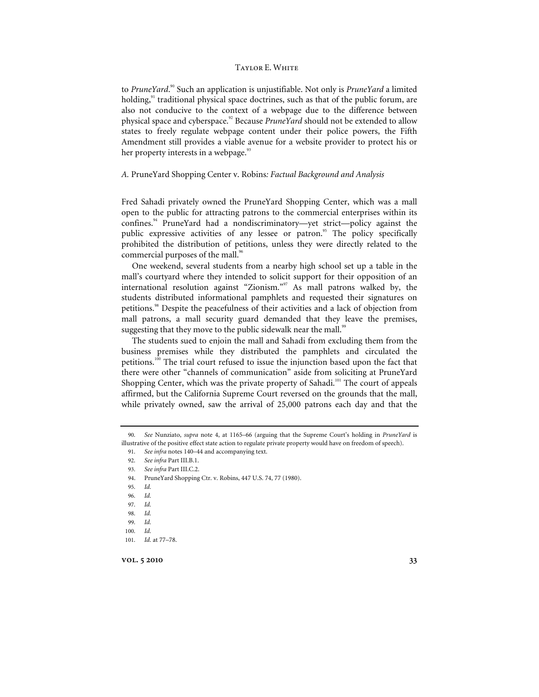to PruneYard.<sup>90</sup> Such an application is unjustifiable. Not only is PruneYard a limited holding, $91$ <sup>1</sup> traditional physical space doctrines, such as that of the public forum, are also not conducive to the context of a webpage due to the difference between physical space and cyberspace.92 Because *PruneYard* should not be extended to allow states to freely regulate webpage content under their police powers, the Fifth Amendment still provides a viable avenue for a website provider to protect his or her property interests in a webpage.<sup>93</sup>

#### *A.* PruneYard Shopping Center v. Robins*: Factual Background and Analysis*

Fred Sahadi privately owned the PruneYard Shopping Center, which was a mall open to the public for attracting patrons to the commercial enterprises within its confines.94 PruneYard had a nondiscriminatory—yet strict—policy against the public expressive activities of any lessee or patron.<sup>95</sup> The policy specifically prohibited the distribution of petitions, unless they were directly related to the commercial purposes of the mall.<sup>96</sup>

One weekend, several students from a nearby high school set up a table in the mall's courtyard where they intended to solicit support for their opposition of an international resolution against "Zionism."<sup>97</sup> As mall patrons walked by, the students distributed informational pamphlets and requested their signatures on petitions.<sup>98</sup> Despite the peacefulness of their activities and a lack of objection from mall patrons, a mall security guard demanded that they leave the premises, suggesting that they move to the public sidewalk near the mall.<sup>99</sup>

The students sued to enjoin the mall and Sahadi from excluding them from the business premises while they distributed the pamphlets and circulated the petitions.100 The trial court refused to issue the injunction based upon the fact that there were other "channels of communication" aside from soliciting at PruneYard Shopping Center, which was the private property of Sahadi.<sup>101</sup> The court of appeals affirmed, but the California Supreme Court reversed on the grounds that the mall, while privately owned, saw the arrival of 25,000 patrons each day and that the

94. PruneYard Shopping Ctr. v. Robins, 447 U.S. 74, 77 (1980).

97*. Id.*

<sup>90</sup>*. See* Nunziato, *supra* note 4, at 1165–66 (arguing that the Supreme Court's holding in *PruneYard* is illustrative of the positive effect state action to regulate private property would have on freedom of speech).

<sup>91</sup>*. See infra* notes 140–44 and accompanying text.

<sup>92</sup>*. See infra* Part III.B.1.

<sup>93</sup>*. See infra* Part III.C.2.

<sup>95</sup>*. Id.*

<sup>96</sup>*. Id.*

<sup>98</sup>*. Id.*

<sup>99</sup>*. Id.*

<sup>100</sup>*. Id.*

<sup>101</sup>*. Id.* at 77–78.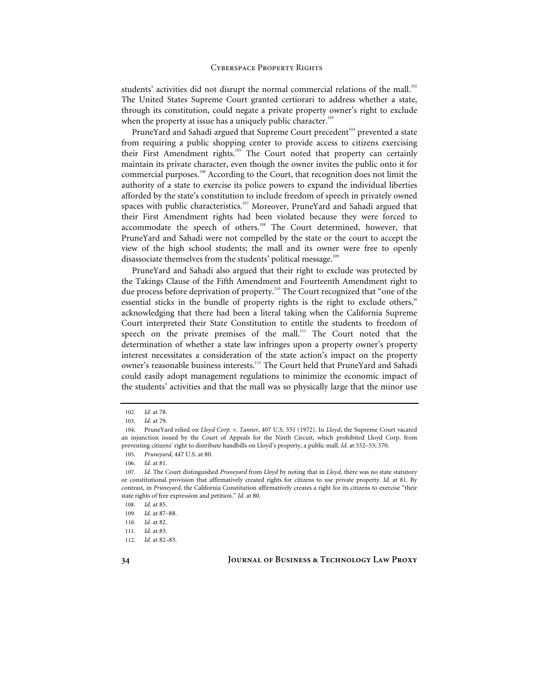students' activities did not disrupt the normal commercial relations of the mall.<sup>102</sup> The United States Supreme Court granted certiorari to address whether a state, through its constitution, could negate a private property owner's right to exclude when the property at issue has a uniquely public character.<sup>103</sup>

PruneYard and Sahadi argued that Supreme Court precedent<sup>104</sup> prevented a state from requiring a public shopping center to provide access to citizens exercising their First Amendment rights.<sup>105</sup> The Court noted that property can certainly maintain its private character, even though the owner invites the public onto it for commercial purposes.<sup>106</sup> According to the Court, that recognition does not limit the authority of a state to exercise its police powers to expand the individual liberties afforded by the state's constitution to include freedom of speech in privately owned spaces with public characteristics.<sup>107</sup> Moreover, PruneYard and Sahadi argued that their First Amendment rights had been violated because they were forced to accommodate the speech of others.<sup>108</sup> The Court determined, however, that PruneYard and Sahadi were not compelled by the state or the court to accept the view of the high school students; the mall and its owner were free to openly disassociate themselves from the students' political message.<sup>109</sup>

PruneYard and Sahadi also argued that their right to exclude was protected by the Takings Clause of the Fifth Amendment and Fourteenth Amendment right to due process before deprivation of property.<sup>110</sup> The Court recognized that "one of the essential sticks in the bundle of property rights is the right to exclude others," acknowledging that there had been a literal taking when the California Supreme Court interpreted their State Constitution to entitle the students to freedom of speech on the private premises of the mall.<sup>111</sup> The Court noted that the determination of whether a state law infringes upon a property owner's property interest necessitates a consideration of the state action's impact on the property owner's reasonable business interests.<sup>112</sup> The Court held that PruneYard and Sahadi could easily adopt management regulations to minimize the economic impact of the students' activities and that the mall was so physically large that the minor use

<sup>102</sup>*. Id.* at 78.

<sup>103</sup>*. Id.* at 79.

<sup>104.</sup> PruneYard relied on *Lloyd Corp. v. Tanner*, 407 U.S. 551 (1972). In *Lloyd*, the Supreme Court vacated an injunction issued by the Court of Appeals for the Ninth Circuit, which prohibited Lloyd Corp. from preventing citizens' right to distribute handbills on Lloyd's property, a public mall. *Id.* at 552–53; 570.

<sup>105</sup>*. Pruneyard*, 447 U.S. at 80.

<sup>106</sup>*. Id.* at 81.

<sup>107</sup>*. Id.* The Court distinguished *Pruneyard* from *Lloyd* by noting that in *Lloyd*, there was no state statutory or constitutional provision that affirmatively created rights for citizens to use private property. *Id.* at 81. By contrast, in *Pruneyard*, the California Constitution affirmatively creates a right for its citizens to exercise "their state rights of free expression and petition." *Id.* at 80.

<sup>108</sup>*. Id.* at 85.

<sup>109</sup>*. Id.* at 87–88.

<sup>110</sup>*. Id.* at 82.

<sup>111</sup>*. Id.* at 83.

<sup>112</sup>*. Id.* at 82–83.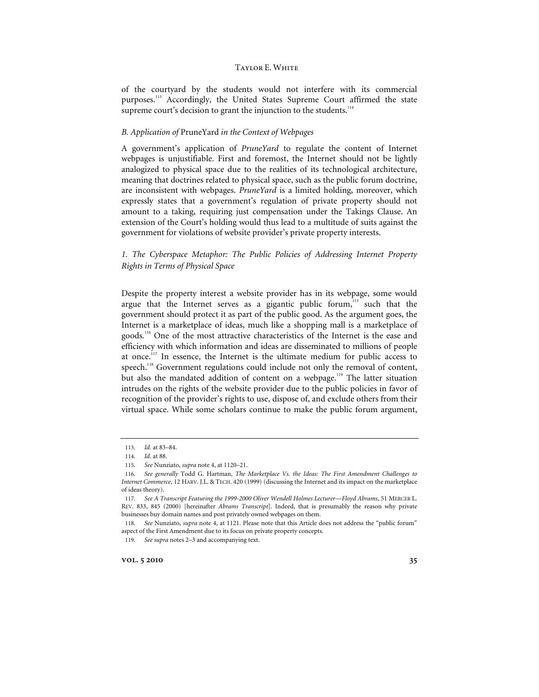of the courtyard by the students would not interfere with its commercial purposes.<sup>113</sup> Accordingly, the United States Supreme Court affirmed the state supreme court's decision to grant the injunction to the students.<sup>114</sup>

#### *B. Application of* PruneYard *in the Context of Webpages*

A government's application of *PruneYard* to regulate the content of Internet webpages is unjustifiable. First and foremost, the Internet should not be lightly analogized to physical space due to the realities of its technological architecture, meaning that doctrines related to physical space, such as the public forum doctrine, are inconsistent with webpages. *PruneYard* is a limited holding, moreover, which expressly states that a government's regulation of private property should not amount to a taking, requiring just compensation under the Takings Clause. An extension of the Court's holding would thus lead to a multitude of suits against the government for violations of website provider's private property interests.

# *1. The Cyberspace Metaphor: The Public Policies of Addressing Internet Property Rights in Terms of Physical Space*

Despite the property interest a website provider has in its webpage, some would argue that the Internet serves as a gigantic public forum,<sup>115</sup> such that the government should protect it as part of the public good. As the argument goes, the Internet is a marketplace of ideas, much like a shopping mall is a marketplace of goods.116 One of the most attractive characteristics of the Internet is the ease and efficiency with which information and ideas are disseminated to millions of people at once.<sup>117</sup> In essence, the Internet is the ultimate medium for public access to speech.<sup>118</sup> Government regulations could include not only the removal of content, but also the mandated addition of content on a webpage.<sup>119</sup> The latter situation intrudes on the rights of the website provider due to the public policies in favor of recognition of the provider's rights to use, dispose of, and exclude others from their virtual space. While some scholars continue to make the public forum argument,

<sup>113</sup>*. Id.* at 83–84.

<sup>114</sup>*. Id.* at 88.

<sup>115</sup>*. See* Nunziato, *supra* note 4, at 1120–21.

<sup>116</sup>*. See generally* Todd G. Hartman, *The Marketplace Vs. the Ideas: The First Amendment Challenges to Internet Commerce*, 12 HARV. J.L. & TECH. 420 (1999) (discussing the Internet and its impact on the marketplace of ideas theory).

<sup>117</sup>*. See A Transcript Featuring the 1999-2000 Oliver Wendell Holmes Lecturer—Floyd Abrams*, 51 MERCER L. REV. 833, 845 (2000) [hereinafter *Abrams Transcript*]. Indeed, that is presumably the reason why private businesses buy domain names and post privately owned webpages on them.

<sup>118</sup>*. See* Nunziato, *supra* note 4, at 1121. Please note that this Article does not address the "public forum" aspect of the First Amendment due to its focus on private property concepts.

<sup>119</sup>*. See supra* notes 2–3 and accompanying text.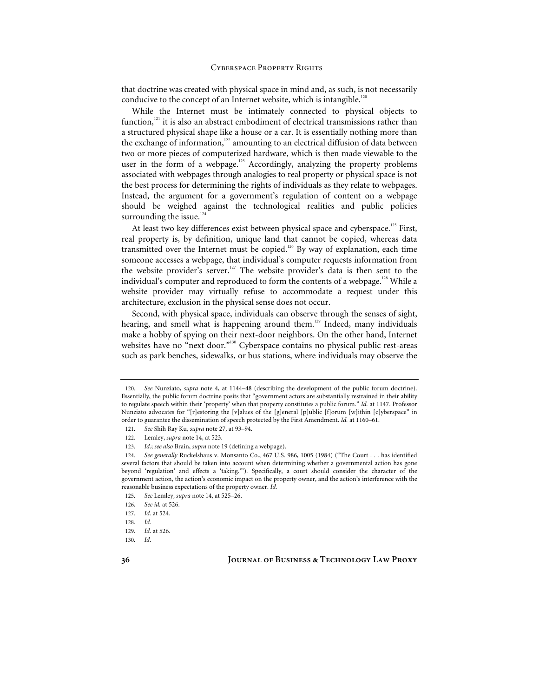that doctrine was created with physical space in mind and, as such, is not necessarily conducive to the concept of an Internet website, which is intangible.<sup>120</sup>

While the Internet must be intimately connected to physical objects to function, $121$  it is also an abstract embodiment of electrical transmissions rather than a structured physical shape like a house or a car. It is essentially nothing more than the exchange of information, $122$  amounting to an electrical diffusion of data between two or more pieces of computerized hardware, which is then made viewable to the user in the form of a webpage.<sup>123</sup> Accordingly, analyzing the property problems associated with webpages through analogies to real property or physical space is not the best process for determining the rights of individuals as they relate to webpages. Instead, the argument for a government's regulation of content on a webpage should be weighed against the technological realities and public policies surrounding the issue.<sup>124</sup>

At least two key differences exist between physical space and cyberspace.<sup>125</sup> First, real property is, by definition, unique land that cannot be copied, whereas data transmitted over the Internet must be copied.<sup>126</sup> By way of explanation, each time someone accesses a webpage, that individual's computer requests information from the website provider's server.<sup>127</sup> The website provider's data is then sent to the individual's computer and reproduced to form the contents of a webpage.<sup>128</sup> While a website provider may virtually refuse to accommodate a request under this architecture, exclusion in the physical sense does not occur.

Second, with physical space, individuals can observe through the senses of sight, hearing, and smell what is happening around them.<sup>129</sup> Indeed, many individuals make a hobby of spying on their next-door neighbors. On the other hand, Internet websites have no "next door."<sup>130</sup> Cyberspace contains no physical public rest-areas such as park benches, sidewalks, or bus stations, where individuals may observe the

<sup>120</sup>*. See* Nunziato, *supra* note 4, at 1144–48 (describing the development of the public forum doctrine). Essentially, the public forum doctrine posits that "government actors are substantially restrained in their ability to regulate speech within their 'property' when that property constitutes a public forum." *Id.* at 1147. Professor Nunziato advocates for "[r]estoring the [v]alues of the [g]eneral [p]ublic [f]orum [w]ithin [c]yberspace" in order to guarantee the dissemination of speech protected by the First Amendment. *Id.* at 1160–61.

<sup>121</sup>*. See* Shih Ray Ku*, supra* note 27, at 93–94.

<sup>122.</sup> Lemley, *supra* note 14, at 523.

<sup>123</sup>*. Id.*; *see also* Brain, *supra* note 19 (defining a webpage).

<sup>124</sup>*. See generally* Ruckelshaus v. Monsanto Co., 467 U.S. 986, 1005 (1984) ("The Court . . . has identified several factors that should be taken into account when determining whether a governmental action has gone beyond 'regulation' and effects a 'taking.'"). Specifically, a court should consider the character of the government action, the action's economic impact on the property owner, and the action's interference with the reasonable business expectations of the property owner. *Id.*

<sup>125</sup>*. See* Lemley, *supra* note 14, at 525–26.

<sup>126</sup>*. See id.* at 526.

<sup>127</sup>*. Id.* at 524.

<sup>128</sup>*. Id.*

<sup>129</sup>*. Id.* at 526.

<sup>130</sup>*. Id*.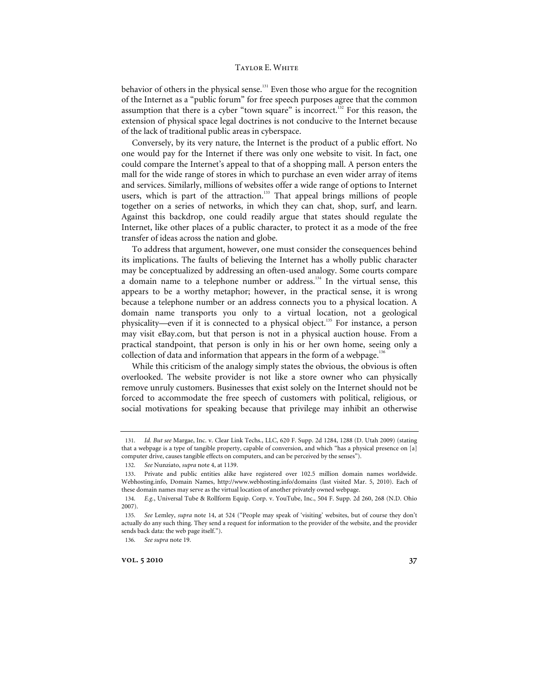behavior of others in the physical sense.<sup>131</sup> Even those who argue for the recognition of the Internet as a "public forum" for free speech purposes agree that the common assumption that there is a cyber "town square" is incorrect.<sup>132</sup> For this reason, the extension of physical space legal doctrines is not conducive to the Internet because of the lack of traditional public areas in cyberspace.

Conversely, by its very nature, the Internet is the product of a public effort. No one would pay for the Internet if there was only one website to visit. In fact, one could compare the Internet's appeal to that of a shopping mall. A person enters the mall for the wide range of stores in which to purchase an even wider array of items and services. Similarly, millions of websites offer a wide range of options to Internet users, which is part of the attraction.<sup>133</sup> That appeal brings millions of people together on a series of networks, in which they can chat, shop, surf, and learn. Against this backdrop, one could readily argue that states should regulate the Internet, like other places of a public character, to protect it as a mode of the free transfer of ideas across the nation and globe.

To address that argument, however, one must consider the consequences behind its implications. The faults of believing the Internet has a wholly public character may be conceptualized by addressing an often-used analogy. Some courts compare a domain name to a telephone number or address.<sup>134</sup> In the virtual sense, this appears to be a worthy metaphor; however, in the practical sense, it is wrong because a telephone number or an address connects you to a physical location. A domain name transports you only to a virtual location, not a geological physicality—even if it is connected to a physical object.135 For instance, a person may visit eBay.com, but that person is not in a physical auction house. From a practical standpoint, that person is only in his or her own home, seeing only a collection of data and information that appears in the form of a webpage.<sup>136</sup>

While this criticism of the analogy simply states the obvious, the obvious is often overlooked. The website provider is not like a store owner who can physically remove unruly customers. Businesses that exist solely on the Internet should not be forced to accommodate the free speech of customers with political, religious, or social motivations for speaking because that privilege may inhibit an otherwise

<sup>131</sup>*. Id. But see* Margae, Inc. v. Clear Link Techs., LLC, 620 F. Supp. 2d 1284, 1288 (D. Utah 2009) (stating that a webpage is a type of tangible property, capable of conversion, and which "has a physical presence on [a] computer drive, causes tangible effects on computers, and can be perceived by the senses").

<sup>132</sup>*. See* Nunziato, *supra* note 4, at 1139.

<sup>133.</sup> Private and public entities alike have registered over 102.5 million domain names worldwide. Webhosting.info, Domain Names, http://www.webhosting.info/domains (last visited Mar. 5, 2010). Each of these domain names may serve as the virtual location of another privately owned webpage.

<sup>134</sup>*. E.g.*, Universal Tube & Rollform Equip. Corp. v. YouTube, Inc., 504 F. Supp. 2d 260, 268 (N.D. Ohio 2007).

<sup>135</sup>*. See* Lemley, *supra* note 14, at 524 ("People may speak of 'visiting' websites, but of course they don't actually do any such thing. They send a request for information to the provider of the website, and the provider sends back data: the web page itself.").

<sup>136</sup>*. See supra* note 19.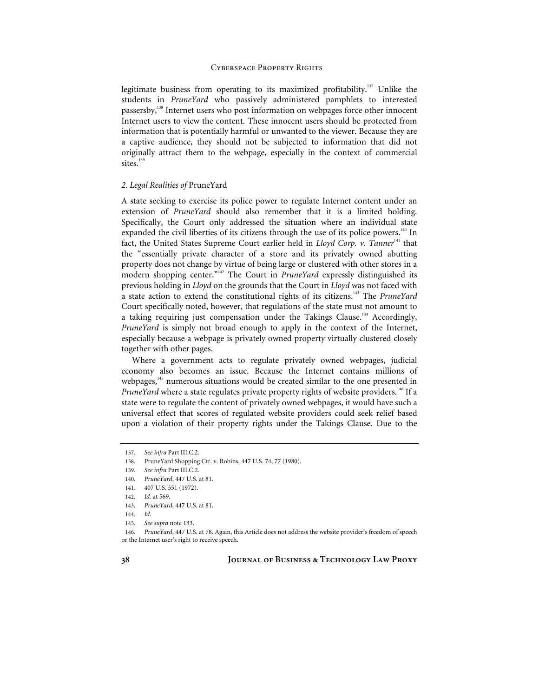legitimate business from operating to its maximized profitability.<sup>137</sup> Unlike the students in *PruneYard* who passively administered pamphlets to interested passersby,138 Internet users who post information on webpages force other innocent Internet users to view the content. These innocent users should be protected from information that is potentially harmful or unwanted to the viewer. Because they are a captive audience, they should not be subjected to information that did not originally attract them to the webpage, especially in the context of commercial sites.<sup>139</sup>

#### *2. Legal Realities of* PruneYard

A state seeking to exercise its police power to regulate Internet content under an extension of *PruneYard* should also remember that it is a limited holding. Specifically, the Court only addressed the situation where an individual state expanded the civil liberties of its citizens through the use of its police powers.<sup>140</sup> In fact, the United States Supreme Court earlier held in *Lloyd Corp. v. Tanner<sup>141</sup>* that the "essentially private character of a store and its privately owned abutting property does not change by virtue of being large or clustered with other stores in a modern shopping center."<sup>142</sup> The Court in *PruneYard* expressly distinguished its previous holding in *Lloyd* on the grounds that the Court in *Lloyd* was not faced with a state action to extend the constitutional rights of its citizens.143 The *PruneYard* Court specifically noted, however, that regulations of the state must not amount to a taking requiring just compensation under the Takings Clause.<sup>144</sup> Accordingly, *PruneYard* is simply not broad enough to apply in the context of the Internet, especially because a webpage is privately owned property virtually clustered closely together with other pages.

Where a government acts to regulate privately owned webpages, judicial economy also becomes an issue. Because the Internet contains millions of webpages,<sup>145</sup> numerous situations would be created similar to the one presented in *PruneYard* where a state regulates private property rights of website providers.<sup>146</sup> If a state were to regulate the content of privately owned webpages, it would have such a universal effect that scores of regulated website providers could seek relief based upon a violation of their property rights under the Takings Clause. Due to the

<sup>137</sup>*. See infra* Part III.C.2.

<sup>138.</sup> PruneYard Shopping Ctr. v. Robins, 447 U.S. 74, 77 (1980).

<sup>139</sup>*. See infra* Part III.C.2.

<sup>140</sup>*. PruneYard*, 447 U.S. at 81.

<sup>141. 407</sup> U.S. 551 (1972).

<sup>142</sup>*. Id.* at 569.

<sup>143</sup>*. PruneYard*, 447 U.S. at 81.

<sup>144</sup>*. Id.*

<sup>145</sup>*. See supra* note 133.

<sup>146</sup>*. PruneYard*, 447 U.S. at 78. Again, this Article does not address the website provider's freedom of speech or the Internet user's right to receive speech.

**<sup>38</sup> Journal of Business & Technology Law Proxy**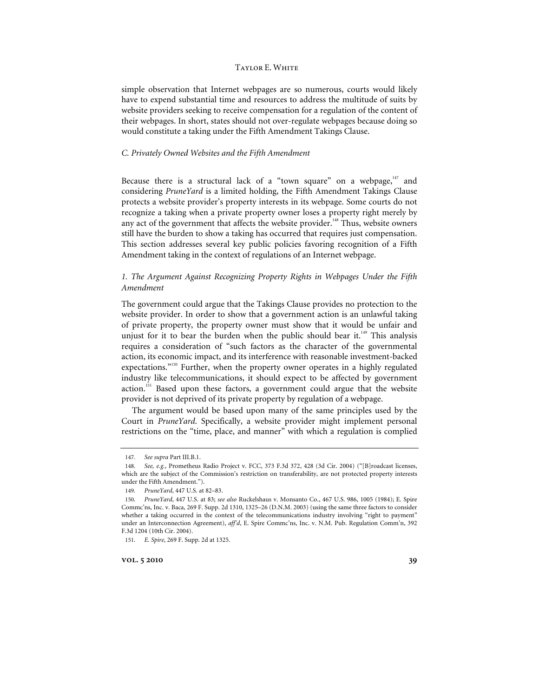simple observation that Internet webpages are so numerous, courts would likely have to expend substantial time and resources to address the multitude of suits by website providers seeking to receive compensation for a regulation of the content of their webpages. In short, states should not over-regulate webpages because doing so would constitute a taking under the Fifth Amendment Takings Clause.

#### *C. Privately Owned Websites and the Fifth Amendment*

Because there is a structural lack of a "town square" on a webpage, $147$  and considering *PruneYard* is a limited holding, the Fifth Amendment Takings Clause protects a website provider's property interests in its webpage. Some courts do not recognize a taking when a private property owner loses a property right merely by any act of the government that affects the website provider.<sup>148</sup> Thus, website owners still have the burden to show a taking has occurred that requires just compensation. This section addresses several key public policies favoring recognition of a Fifth Amendment taking in the context of regulations of an Internet webpage.

# *1. The Argument Against Recognizing Property Rights in Webpages Under the Fifth Amendment*

The government could argue that the Takings Clause provides no protection to the website provider. In order to show that a government action is an unlawful taking of private property, the property owner must show that it would be unfair and unjust for it to bear the burden when the public should bear it.<sup>149</sup> This analysis requires a consideration of "such factors as the character of the governmental action, its economic impact, and its interference with reasonable investment-backed expectations."<sup>150</sup> Further, when the property owner operates in a highly regulated industry like telecommunications, it should expect to be affected by government action.<sup>151</sup> Based upon these factors, a government could argue that the website provider is not deprived of its private property by regulation of a webpage.

The argument would be based upon many of the same principles used by the Court in *PruneYard*. Specifically, a website provider might implement personal restrictions on the "time, place, and manner" with which a regulation is complied

**vol.** 5 2010 39

<sup>147</sup>*. See supra* Part III.B.1.

<sup>148</sup>*. See, e.g.*, Prometheus Radio Project v. FCC, 373 F.3d 372, 428 (3d Cir. 2004) ("[B]roadcast licenses, which are the subject of the Commission's restriction on transferability, are not protected property interests under the Fifth Amendment.").

<sup>149</sup>*. PruneYard*, 447 U.S. at 82–83.

<sup>150</sup>*. PruneYard*, 447 U.S. at 83; *see also* Ruckelshaus v. Monsanto Co., 467 U.S. 986, 1005 (1984); E. Spire Commc'ns, Inc. v. Baca, 269 F. Supp. 2d 1310, 1325–26 (D.N.M. 2003) (using the same three factors to consider whether a taking occurred in the context of the telecommunications industry involving "right to payment" under an Interconnection Agreement), *aff'd*, E. Spire Commc'ns, Inc. v. N.M. Pub. Regulation Comm'n, 392 F.3d 1204 (10th Cir. 2004).

<sup>151</sup>*. E. Spire*, 269 F. Supp. 2d at 1325.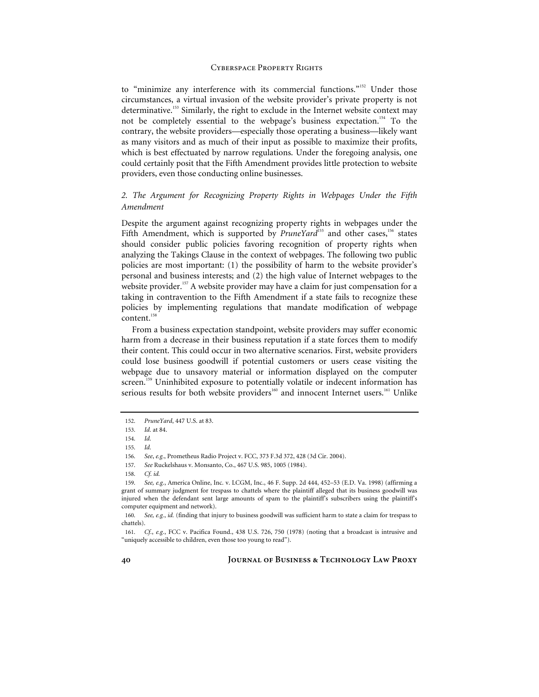to "minimize any interference with its commercial functions."152 Under those circumstances, a virtual invasion of the website provider's private property is not determinative.<sup>153</sup> Similarly, the right to exclude in the Internet website context may not be completely essential to the webpage's business expectation.<sup>154</sup> To the contrary, the website providers—especially those operating a business—likely want as many visitors and as much of their input as possible to maximize their profits, which is best effectuated by narrow regulations. Under the foregoing analysis, one could certainly posit that the Fifth Amendment provides little protection to website providers, even those conducting online businesses.

# *2. The Argument for Recognizing Property Rights in Webpages Under the Fifth Amendment*

Despite the argument against recognizing property rights in webpages under the Fifth Amendment, which is supported by *PruneYard*<sup>155</sup> and other cases,<sup>156</sup> states</sup> should consider public policies favoring recognition of property rights when analyzing the Takings Clause in the context of webpages. The following two public policies are most important: (1) the possibility of harm to the website provider's personal and business interests; and (2) the high value of Internet webpages to the website provider.<sup>157</sup> A website provider may have a claim for just compensation for a taking in contravention to the Fifth Amendment if a state fails to recognize these policies by implementing regulations that mandate modification of webpage content.<sup>158</sup>

From a business expectation standpoint, website providers may suffer economic harm from a decrease in their business reputation if a state forces them to modify their content. This could occur in two alternative scenarios. First, website providers could lose business goodwill if potential customers or users cease visiting the webpage due to unsavory material or information displayed on the computer screen.<sup>159</sup> Uninhibited exposure to potentially volatile or indecent information has serious results for both website providers<sup>160</sup> and innocent Internet users.<sup>161</sup> Unlike

<sup>152</sup>*. PruneYard*, 447 U.S. at 83.

<sup>153</sup>*. Id.* at 84.

<sup>154</sup>*. Id.*

<sup>155</sup>*. Id.*

<sup>156</sup>*. See*, *e.g.*, Prometheus Radio Project v. FCC, 373 F.3d 372, 428 (3d Cir. 2004).

<sup>157</sup>*. See* Ruckelshaus v. Monsanto, Co., 467 U.S. 985, 1005 (1984).

<sup>158</sup>*. Cf. id.*

<sup>159</sup>*. See, e.g.*, America Online, Inc. v. LCGM, Inc., 46 F. Supp. 2d 444, 452–53 (E.D. Va. 1998) (affirming a grant of summary judgment for trespass to chattels where the plaintiff alleged that its business goodwill was injured when the defendant sent large amounts of spam to the plaintiff's subscribers using the plaintiff's computer equipment and network).

<sup>160</sup>*. See, e.g.*, *id.* (finding that injury to business goodwill was sufficient harm to state a claim for trespass to chattels).

<sup>161</sup>*. Cf.*, *e.g.*, FCC v. Pacifica Found., 438 U.S. 726, 750 (1978) (noting that a broadcast is intrusive and "uniquely accessible to children, even those too young to read").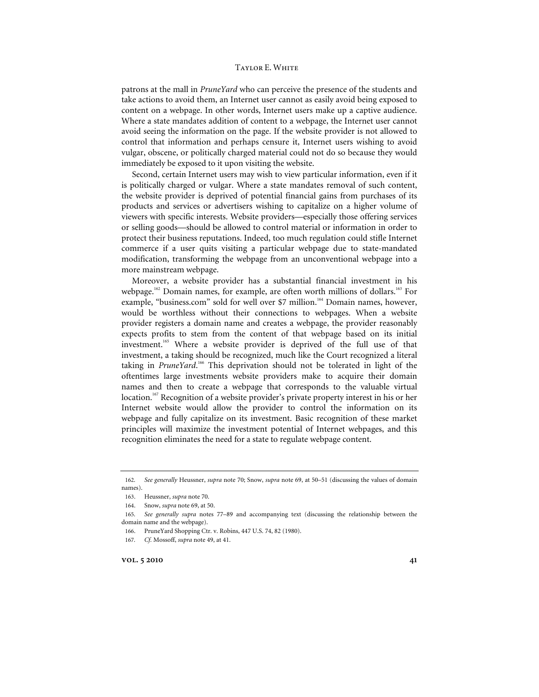patrons at the mall in *PruneYard* who can perceive the presence of the students and take actions to avoid them, an Internet user cannot as easily avoid being exposed to content on a webpage. In other words, Internet users make up a captive audience. Where a state mandates addition of content to a webpage, the Internet user cannot avoid seeing the information on the page. If the website provider is not allowed to control that information and perhaps censure it, Internet users wishing to avoid vulgar, obscene, or politically charged material could not do so because they would immediately be exposed to it upon visiting the website.

Second, certain Internet users may wish to view particular information, even if it is politically charged or vulgar. Where a state mandates removal of such content, the website provider is deprived of potential financial gains from purchases of its products and services or advertisers wishing to capitalize on a higher volume of viewers with specific interests. Website providers—especially those offering services or selling goods—should be allowed to control material or information in order to protect their business reputations. Indeed, too much regulation could stifle Internet commerce if a user quits visiting a particular webpage due to state-mandated modification, transforming the webpage from an unconventional webpage into a more mainstream webpage.

Moreover, a website provider has a substantial financial investment in his webpage.<sup>162</sup> Domain names, for example, are often worth millions of dollars.<sup>163</sup> For example, "business.com" sold for well over \$7 million.<sup>164</sup> Domain names, however, would be worthless without their connections to webpages. When a website provider registers a domain name and creates a webpage, the provider reasonably expects profits to stem from the content of that webpage based on its initial investment.<sup>165</sup> Where a website provider is deprived of the full use of that investment, a taking should be recognized, much like the Court recognized a literal taking in PruneYard.<sup>166</sup> This deprivation should not be tolerated in light of the oftentimes large investments website providers make to acquire their domain names and then to create a webpage that corresponds to the valuable virtual location.<sup>167</sup> Recognition of a website provider's private property interest in his or her Internet website would allow the provider to control the information on its webpage and fully capitalize on its investment. Basic recognition of these market principles will maximize the investment potential of Internet webpages, and this recognition eliminates the need for a state to regulate webpage content.

**vol.** 5 2010 41

<sup>162</sup>*. See generally* Heussner, *supra* note 70; Snow, *supra* note 69, at 50–51 (discussing the values of domain names).

<sup>163.</sup> Heussner, *supra* note 70.

<sup>164.</sup> Snow, *supra* note 69, at 50.

<sup>165</sup>*. See generally supra* notes 77–89 and accompanying text (discussing the relationship between the domain name and the webpage).

<sup>166.</sup> PruneYard Shopping Ctr. v. Robins, 447 U.S. 74, 82 (1980).

<sup>167</sup>*. Cf.* Mossoff, *supra* note 49, at 41.